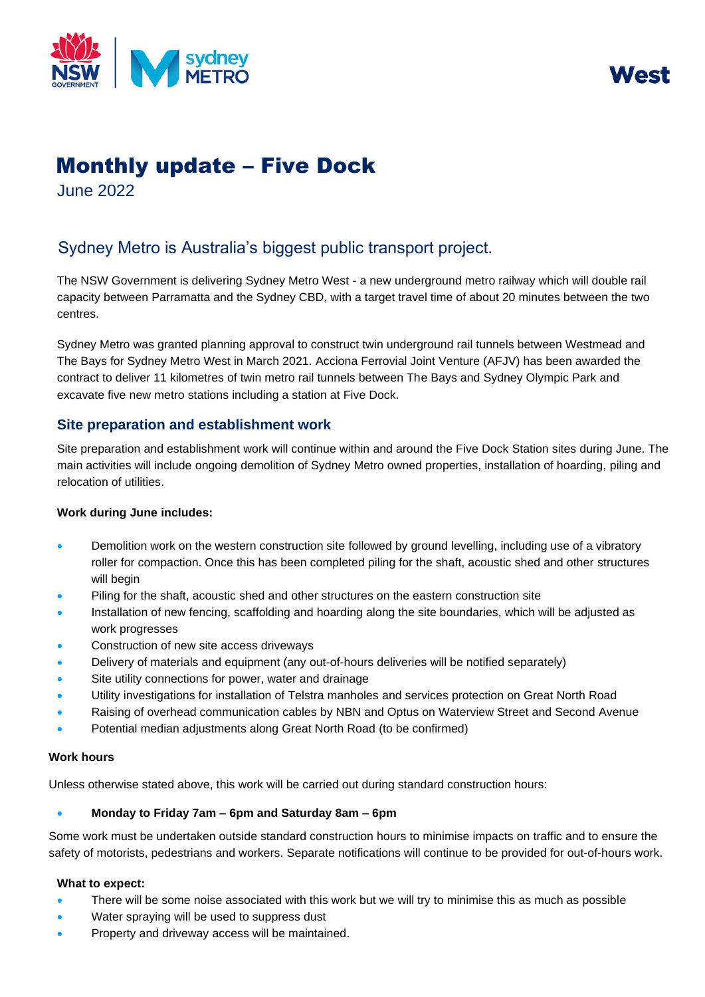



# Monthly update – Five Dock

June 2022

## Sydney Metro is Australia's biggest public transport project.

The NSW Government is delivering Sydney Metro West - a new underground metro railway which will double rail capacity between Parramatta and the Sydney CBD, with a target travel time of about 20 minutes between the two centres.

Sydney Metro was granted planning approval to construct twin underground rail tunnels between Westmead and The Bays for Sydney Metro West in March 2021. Acciona Ferrovial Joint Venture (AFJV) has been awarded the contract to deliver 11 kilometres of twin metro rail tunnels between The Bays and Sydney Olympic Park and excavate five new metro stations including a station at Five Dock.

### **Site preparation and establishment work**

Site preparation and establishment work will continue within and around the Five Dock Station sites during June. The main activities will include ongoing demolition of Sydney Metro owned properties, installation of hoarding, piling and relocation of utilities.

#### **Work during June includes:**

- Demolition work on the western construction site followed by ground levelling, including use of a vibratory roller for compaction. Once this has been completed piling for the shaft, acoustic shed and other structures will begin
- Piling for the shaft, acoustic shed and other structures on the eastern construction site
- Installation of new fencing, scaffolding and hoarding along the site boundaries, which will be adjusted as work progresses
- Construction of new site access driveways
- Delivery of materials and equipment (any out-of-hours deliveries will be notified separately)
- Site utility connections for power, water and drainage
- Utility investigations for installation of Telstra manholes and services protection on Great North Road
- Raising of overhead communication cables by NBN and Optus on Waterview Street and Second Avenue
- Potential median adjustments along Great North Road (to be confirmed)

#### **Work hours**

Unless otherwise stated above, this work will be carried out during standard construction hours:

#### • **Monday to Friday 7am – 6pm and Saturday 8am – 6pm**

Some work must be undertaken outside standard construction hours to minimise impacts on traffic and to ensure the safety of motorists, pedestrians and workers. Separate notifications will continue to be provided for out-of-hours work.

#### **What to expect:**

- There will be some noise associated with this work but we will try to minimise this as much as possible
- Water spraying will be used to suppress dust
- Property and driveway access will be maintained.